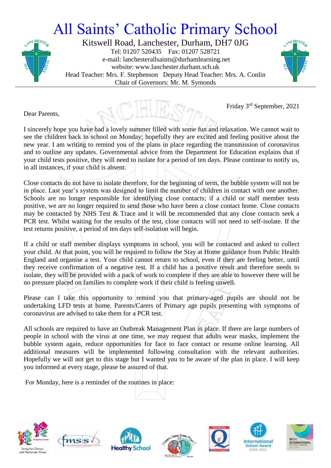## All Saints' Catholic Primary School



Kitswell Road, Lanchester, Durham, DH7 0JG Tel: 01207 520435 Fax: 01207 528721 e-mail: lanchesterallsaints@durhamlearning.net website: www.lanchester.durham.sch.uk Head Teacher: Mrs. F. Stephenson Deputy Head Teacher: Mrs. A. Conlin Chair of Governors: Mr. M. Symonds



Friday 3 rd September, 2021

Dear Parents,

I sincerely hope you have had a lovely summer filled with some fun and relaxation. We cannot wait to see the children back in school on Monday; hopefully they are excited and feeling positive about the new year. I am writing to remind you of the plans in place regarding the transmission of coronavirus and to outline any updates. Governmental advice from the Department for Education explains that if your child tests positive, they will need to isolate for a period of ten days. Please continue to notify us, in all instances, if your child is absent.

Close contacts do not have to isolate therefore, for the beginning of term, the bubble system will not be in place. Last year's system was designed to limit the number of children in contact with one another. Schools are no longer responsible for identifying close contacts; if a child or staff member tests positive, we are no longer required to send those who have been a close contact home. Close contacts may be contacted by NHS Test & Trace and it will be recommended that any close contacts seek a PCR test. Whilst waiting for the results of the test, close contacts will not need to self-isolate. If the test returns positive, a period of ten days self-isolation will begin.

If a child or staff member displays symptoms in school, you will be contacted and asked to collect your child. At that point, you will be required to follow the Stay at Home guidance from Public Health England and organise a test. Your child cannot return to school, even if they are feeling better, until they receive confirmation of a negative test. If a child has a positive result and therefore needs to isolate, they will be provided with a pack of work to complete if they are able to however there will be no pressure placed on families to complete work if their child is feeling unwell.

Please can I take this opportunity to remind you that primary-aged pupils are should not be undertaking LFD tests at home. Parents/Carers of Primary age pupils presenting with symptoms of coronavirus are advised to take them for a PCR test.

All schools are required to have an Outbreak Management Plan in place. If there are large numbers of people in school with the virus at one time, we may request that adults wear masks, implement the bubble system again, reduce opportunities for face to face contact or resume online learning. All additional measures will be implemented following consultation with the relevant authorities. Hopefully we will not get to this stage but I wanted you to be aware of the plan in place. I will keep you informed at every stage, please be assured of that.

For Monday, here is a reminder of the routines in place:















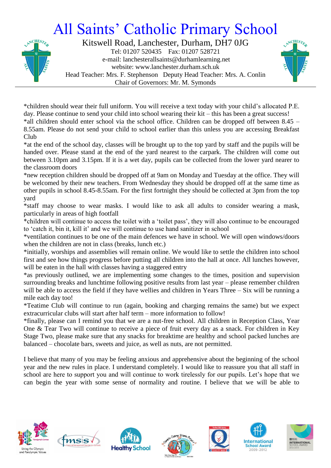## All Saints' Catholic Primary School



Kitswell Road, Lanchester, Durham, DH7 0JG Tel: 01207 520435 Fax: 01207 528721 e-mail: lanchesterallsaints@durhamlearning.net website: www.lanchester.durham.sch.uk Head Teacher: Mrs. F. Stephenson Deputy Head Teacher: Mrs. A. Conlin Chair of Governors: Mr. M. Symonds



\*children should wear their full uniform. You will receive a text today with your child's allocated P.E. day. Please continue to send your child into school wearing their kit – this has been a great success! \*all children should enter school via the school office. Children can be dropped off between 8.45 – 8.55am. Please do not send your child to school earlier than this unless you are accessing Breakfast Club

\*at the end of the school day, classes will be brought up to the top yard by staff and the pupils will be handed over. Please stand at the end of the yard nearest to the carpark. The children will come out between 3.10pm and 3.15pm. If it is a wet day, pupils can be collected from the lower yard nearer to the classroom doors

\*new reception children should be dropped off at 9am on Monday and Tuesday at the office. They will be welcomed by their new teachers. From Wednesday they should be dropped off at the same time as other pupils in school 8.45-8.55am. For the first fortnight they should be collected at 3pm from the top yard

\*staff may choose to wear masks. I would like to ask all adults to consider wearing a mask, particularly in areas of high footfall

\*children will continue to access the toilet with a 'toilet pass', they will also continue to be encouraged to 'catch it, bin it, kill it' and we will continue to use hand sanitizer in school

\*ventilation continues to be one of the main defences we have in school. We will open windows/doors when the children are not in class (breaks, lunch etc.)

\*initially, worships and assemblies will remain online. We would like to settle the children into school first and see how things progress before putting all children into the hall at once. All lunches however, will be eaten in the hall with classes having a staggered entry

\*as previously outlined, we are implementing some changes to the times, position and supervision surrounding breaks and lunchtime following positive results from last year – please remember children will be able to access the field if they have wellies and children in Years Three – Six will be running a mile each day too!

\*Teatime Club will continue to run (again, booking and charging remains the same) but we expect extracurricular clubs will start after half term – more information to follow!

\*finally, please can I remind you that we are a nut-free school. All children in Reception Class, Year One & Tear Two will continue to receive a piece of fruit every day as a snack. For children in Key Stage Two, please make sure that any snacks for breaktime are healthy and school packed lunches are balanced – chocolate bars, sweets and juice, as well as nuts, are not permitted.

I believe that many of you may be feeling anxious and apprehensive about the beginning of the school year and the new rules in place. I understand completely. I would like to reassure you that all staff in school are here to support you and will continue to work tirelessly for our pupils. Let's hope that we can begin the year with some sense of normality and routine. I believe that we will be able to